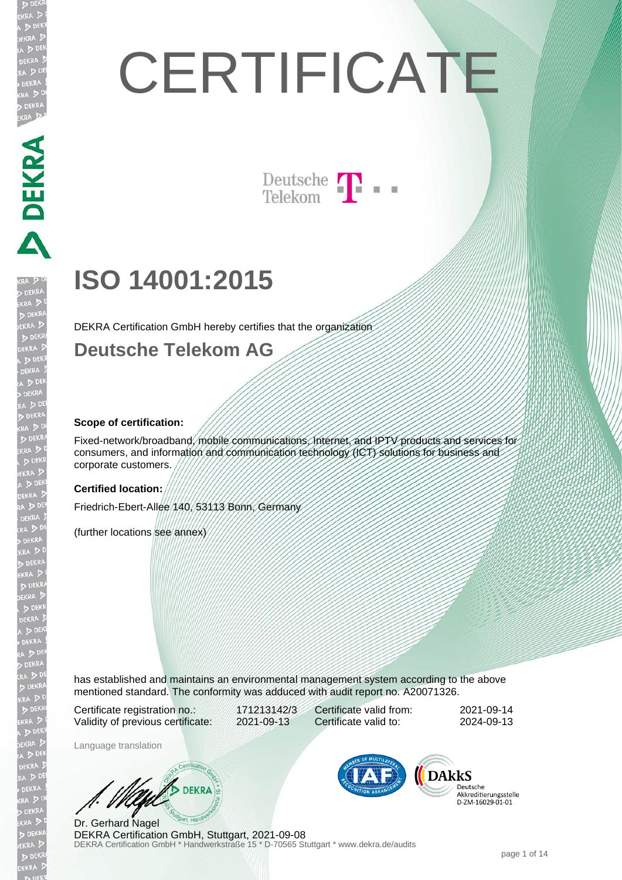# **CERTIFICATE**

Deutsche T

## **ISO 14001:2015**

DEKRA Certification GmbH hereby certifies that the organization

#### **Deutsche Telekom AG**

#### **Scope of certification:**

Fixed-network/broadband, mobile communications, Internet, and IPTV products and services for consumers, and information and communication technology (ICT) solutions for business and corporate customers.

#### **Certified location:**

Friedrich-Ebert-Allee 140, 53113 Bonn, Germany

(further locations see annex)

has established and maintains an environmental management system according to the above mentioned standard. The conformity was adduced with audit report no. A20071326.

Certificate registration no.: 171213142/3 Validity of previous certificate: 2021-09-13

Certificate valid from: 2021-09-14 Certificate valid to: 2024-09-13

Language translation

DEKRA

DEKRA Certification GmbH \* Handwerkstraße 15 \* D-70565 Stuttgart \* www.dekra.de/audits Dr. Gerhard Nagel DEKRA Certification GmbH, Stuttgart, 2021-09-08



Deutsche Akkreditierungsstelle D-ZM-16029-01-01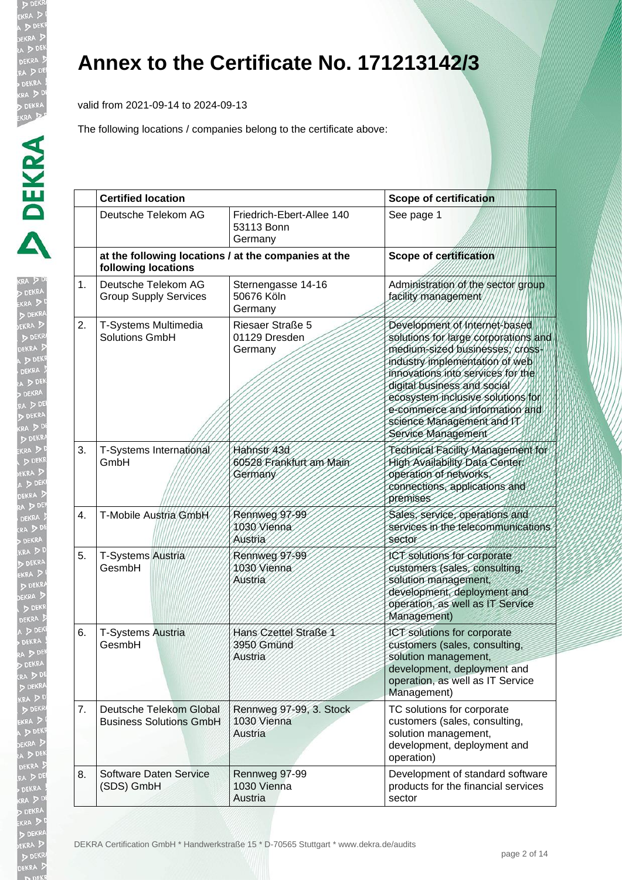EKR

**KRA**  $D$ EKR

#### **Annex to the Certificate No. 171213142/3**

valid from 2021-09-14 to 2024-09-13

|    | <b>Certified location</b>                                                   |                                                    | <b>Scope of certification</b>                                                                                                                                                                                                                                                                                                           |  |
|----|-----------------------------------------------------------------------------|----------------------------------------------------|-----------------------------------------------------------------------------------------------------------------------------------------------------------------------------------------------------------------------------------------------------------------------------------------------------------------------------------------|--|
|    | Deutsche Telekom AG                                                         | Friedrich-Ebert-Allee 140<br>53113 Bonn<br>Germany | See page 1                                                                                                                                                                                                                                                                                                                              |  |
|    | at the following locations / at the companies at the<br>following locations |                                                    | <b>Scope of certification</b>                                                                                                                                                                                                                                                                                                           |  |
| 1. | Deutsche Telekom AG<br><b>Group Supply Services</b>                         | Sternengasse 14-16<br>50676 Köln<br>Germany        | Administration of the sector group<br>facility management                                                                                                                                                                                                                                                                               |  |
| 2. | T-Systems Multimedia<br><b>Solutions GmbH</b>                               | Riesaer Straße 5<br>01129 Dresden<br>Germany       | Development of Internet-based<br>solutions for large corporations and<br>medium-sized businesses, cross<br>industry implementation of web<br>innovations into services for the<br>digital business and social<br>ecosystem inclusive solutions for<br>e-commerce and information and<br>science Management and IT<br>Service Management |  |
| 3. | T-Systems International<br>GmbH                                             | Hahnstr 43d<br>60528 Frankfurt am Main<br>Germany  | Technical Facility Management for<br><b>High Availability Data Center:</b><br>operation of networks<br>connections, applications and<br>premises                                                                                                                                                                                        |  |
| 4. | T-Mobile Austria GmbH                                                       | Rennweg 97-99<br>1030 Vienna<br>Austria            | Sales, service, operations and<br>services in the telecommunications<br>sector                                                                                                                                                                                                                                                          |  |
| 5. | T-Systems Austria<br>GesmbH                                                 | Rennweg 97-99<br>1030 Vienna<br>Austria            | ICT solutions for corporate<br>customers (sales, consulting,<br>solution management,<br>development, deployment and<br>operation, as well as IT Service<br>Management)                                                                                                                                                                  |  |
| 6. | <b>T-Systems Austria</b><br>GesmbH                                          | Hans Czettel Straße 1<br>3950 Gmünd<br>Austria     | ICT solutions for corporate<br>customers (sales, consulting,<br>solution management,<br>development, deployment and<br>operation, as well as IT Service<br>Management)                                                                                                                                                                  |  |
| 7. | Deutsche Telekom Global<br><b>Business Solutions GmbH</b>                   | Rennweg 97-99, 3. Stock<br>1030 Vienna<br>Austria  | TC solutions for corporate<br>customers (sales, consulting,<br>solution management,<br>development, deployment and<br>operation)                                                                                                                                                                                                        |  |
| 8. | Software Daten Service<br>(SDS) GmbH                                        | Rennweg 97-99<br>1030 Vienna<br>Austria            | Development of standard software<br>products for the financial services<br>sector                                                                                                                                                                                                                                                       |  |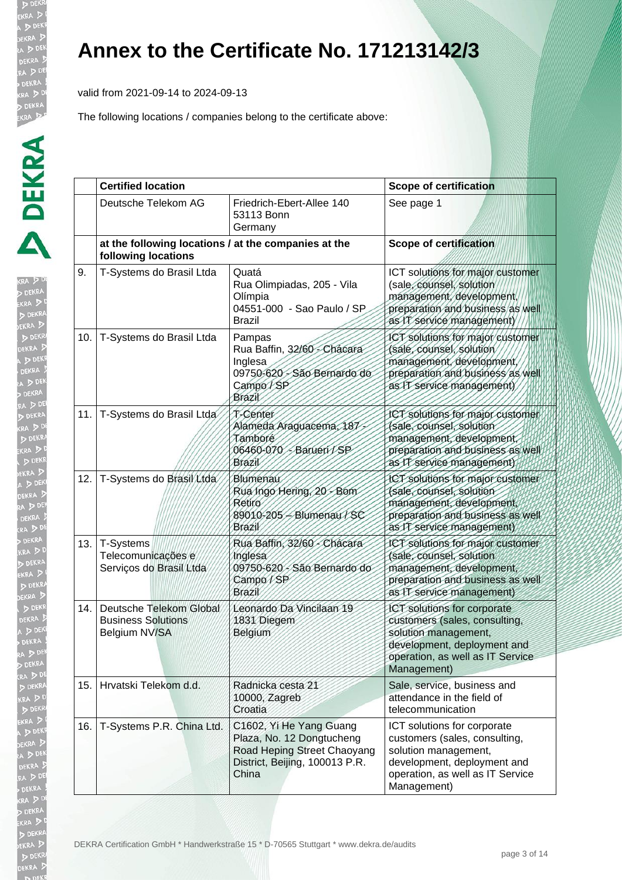valid from 2021-09-14 to 2024-09-13

| I      |
|--------|
|        |
|        |
|        |
|        |
|        |
|        |
|        |
|        |
|        |
| ļ<br>t |
|        |
|        |
|        |

|     | <b>Certified location</b>                                                   |                                                                                                                                | <b>Scope of certification</b>                                                                                                                                          |
|-----|-----------------------------------------------------------------------------|--------------------------------------------------------------------------------------------------------------------------------|------------------------------------------------------------------------------------------------------------------------------------------------------------------------|
|     | Deutsche Telekom AG                                                         | Friedrich-Ebert-Allee 140<br>53113 Bonn<br>Germany                                                                             | See page 1                                                                                                                                                             |
|     | at the following locations / at the companies at the<br>following locations |                                                                                                                                | <b>Scope of certification</b>                                                                                                                                          |
| 9.  | T-Systems do Brasil Ltda                                                    | Quatá<br>Rua Olimpiadas, 205 - Vila<br>Olímpia<br>04551-000 - Sao Paulo / SP<br>Brazil                                         | ICT solutions for major customer<br>(sale, counsel, solution<br>management, development,<br>preparation and business as well<br>as IT service management)              |
| 10. | T-Systems do Brasil Ltda                                                    | Pampas<br>Rua Baffin, 32/60 - Chácara<br>Inglesa<br>09750-620 - São Bernardo do<br>Campo/SP<br>Brazil                          | ICT solutions for major customer<br>(sale, counsel, solution<br>management, development<br>preparation and business as well<br>as IT service management)               |
| 11. | T-Systems do Brasil Ltda                                                    | T-Center<br>Alameda Araguacema, 187<br>Tamboré<br>- Barueri / SP<br>06460-070<br>Brazil                                        | ICT solutions for major customer<br>(sale, counsel, solution<br>management, development<br>preparation and business as well<br>as IT service management)               |
| 12. | T-Systems do Brasil Ltda                                                    | Blumenau<br>Rua Ingo Hering, 20 - Bom<br>Retiro<br>89010-205 - Blumenau / SC<br>Brazil                                         | ICT solutions for major customer<br>(sale, counsel, solution<br>management, development,<br>preparation and business as well<br>as IT service management)              |
| 13. | T-Systems<br>Telecomunicações e<br>Serviços do Brasil Ltda                  | Rua Baffin, 32/60 - Chácara<br>Inglesa<br>09750-620 - São Bernardo do<br>Campo/SP<br>Brazil                                    | ICT solutions for major customer<br>(sale, counsel, solution<br>management, development,<br>preparation and business as well<br>as IT service management)              |
| 14. | Deutsche Telekom Global<br><b>Business Solutions</b><br>Belgium NV/SA       | Leonardo Da Vincilaan 19<br>1831 Diegem<br>Belgium                                                                             | ICT solutions for corporate<br>customers (sales, consulting,<br>solution management,<br>development, deployment and<br>operation, as well as IT Service<br>Management) |
| 15. | Hrvatski Telekom d.d.                                                       | Radnicka cesta 21<br>10000, Zagreb<br>Croatia                                                                                  | Sale, service, business and<br>attendance in the field of<br>telecommunication                                                                                         |
| 16. | T-Systems P.R. China Ltd.                                                   | C1602, Yi He Yang Guang<br>Plaza, No. 12 Dongtucheng<br>Road Heping Street Chaoyang<br>District, Beijing, 100013 P.R.<br>China | ICT solutions for corporate<br>customers (sales, consulting,<br>solution management,<br>development, deployment and<br>operation, as well as IT Service<br>Management) |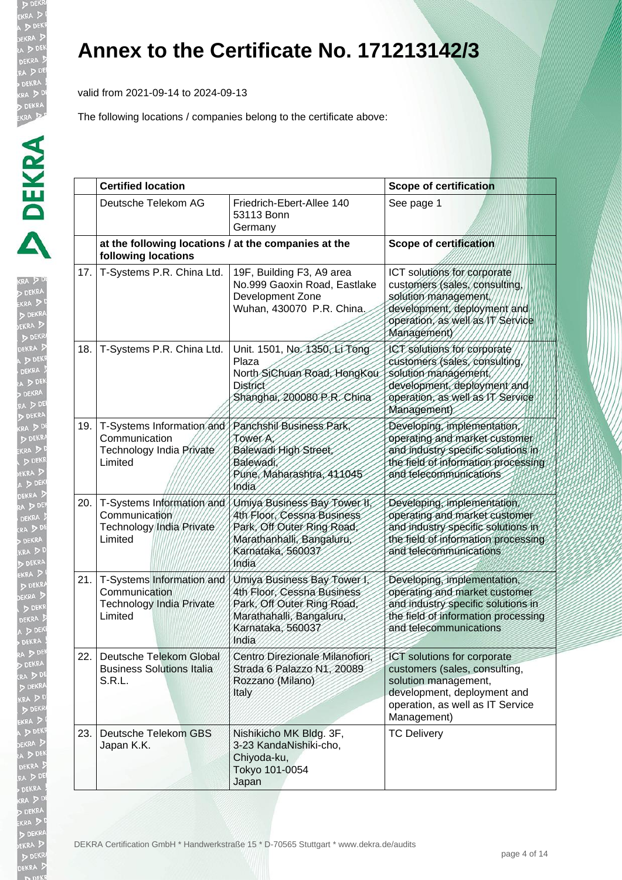valid from 2021-09-14 to 2024-09-13

| Ì<br>(R)<br>B                                     |
|---------------------------------------------------|
| Ì                                                 |
| i<br>ì<br>1                                       |
| į                                                 |
| i                                                 |
| Ž                                                 |
|                                                   |
| D<br>EK<br>D<br>i<br>l                            |
| į                                                 |
| こうしょう こうしょう しょうかん しょうかん アルファンド しゅうしょう しょうかん アルファン |
| j                                                 |
| I                                                 |
| ļ<br>$\frac{1}{2}$                                |
|                                                   |
|                                                   |
| $\ddot{\phantom{a}}$                              |
| ĺ<br>֘֝֬<br>I                                     |
| ו<br>ו<br>j<br><b>All property</b><br>j           |
| ֘֒<br>j                                           |
| I                                                 |
| l<br>ţ                                            |
| þ                                                 |
|                                                   |
| I                                                 |
|                                                   |
|                                                   |
|                                                   |
|                                                   |
|                                                   |
| ļ<br>j                                            |
|                                                   |
|                                                   |
|                                                   |
|                                                   |
|                                                   |
|                                                   |
|                                                   |
|                                                   |
|                                                   |
| ֚֕֡֡֡                                             |
|                                                   |
|                                                   |
|                                                   |
|                                                   |
|                                                   |
|                                                   |
|                                                   |

|     | <b>Certified location</b>                                                                                   |                                                                                                                                                     | <b>Scope of certification</b>                                                                                                                                          |
|-----|-------------------------------------------------------------------------------------------------------------|-----------------------------------------------------------------------------------------------------------------------------------------------------|------------------------------------------------------------------------------------------------------------------------------------------------------------------------|
|     | Deutsche Telekom AG                                                                                         | Friedrich-Ebert-Allee 140<br>53113 Bonn<br>Germany                                                                                                  | See page 1                                                                                                                                                             |
|     | at the following locations / at the companies at the<br>following locations                                 |                                                                                                                                                     | <b>Scope of certification</b>                                                                                                                                          |
| 17. | T-Systems P.R. China Ltd.                                                                                   | 19F, Building F3, A9 area<br>No.999 Gaoxin Road, Eastlake<br>Development Zone<br>Wuhan, 430070 P.R. China.                                          | ICT solutions for corporate<br>customers (sales, consulting,<br>solution management.<br>development, deployment and<br>operation, as well as IT Service<br>Management) |
| 18. | T-Systems P.R. China Ltd.                                                                                   | Unit. 1501, No. 1350, Li Tong<br>Plaza<br>North SiChuan Road, HongKou<br><b>District</b><br>Shanghai, 200080 P.R. China                             | ICT solutions for corporate<br>customers (sales, consulting,<br>solution management,<br>development, deployment and<br>operation, as well as IT Service<br>Management) |
| 19. | T-Systems Information and / Panchshil Business Park<br>Communication<br>Technology India Private<br>Limited | Tower A<br>Balewadi High Street,<br>Balewadi,<br>Pune, Maharashtra, 411045<br>hodia                                                                 | Developing, implementation,<br>operating and market customer<br>and industry specific solutions in<br>the field of information processing<br>and telecommunications    |
| 20. | T-Systems Information and<br>Communication<br>Technology India Private<br>Limited                           | Umiya Business Bay Tower II,<br>4th Floor, Cessna Business<br>Park, Off Outer Ring Road,<br>Marathanhalli, Bangaluru,<br>Karnataka, 560037<br>India | Developing, implementation,<br>operating and market customer<br>and industry specific solutions in<br>the field of information processing<br>and telecommunications    |
| 21. | T-Systems Information and<br>Communication<br><b>Technology India Private</b><br>Limited                    | Umiya Business Bay Tower I<br>4th Floor, Cessna Business<br>Park, Off Outer Ring Road,<br>Marathahalli, Bangaluru,<br>Karnataka, 560037<br>India    | Developing, implementation,<br>operating and market customer<br>and industry specific solutions in<br>the field of information processing<br>and telecommunications    |
| 22. | Deutsche Telekom Global<br><b>Business Solutions Italia</b><br>S.R.L.                                       | Centro Direzionale Milanofiori,<br>Strada 6 Palazzo N1, 20089<br>Rozzano (Milano)<br>Italy                                                          | ICT solutions for corporate<br>customers (sales, consulting,<br>solution management,<br>development, deployment and<br>operation, as well as IT Service<br>Management) |
| 23. | Deutsche Telekom GBS<br>Japan K.K.                                                                          | Nishikicho MK Bldg. 3F,<br>3-23 KandaNishiki-cho,<br>Chiyoda-ku,<br>Tokyo 101-0054<br>Japan                                                         | <b>TC Delivery</b>                                                                                                                                                     |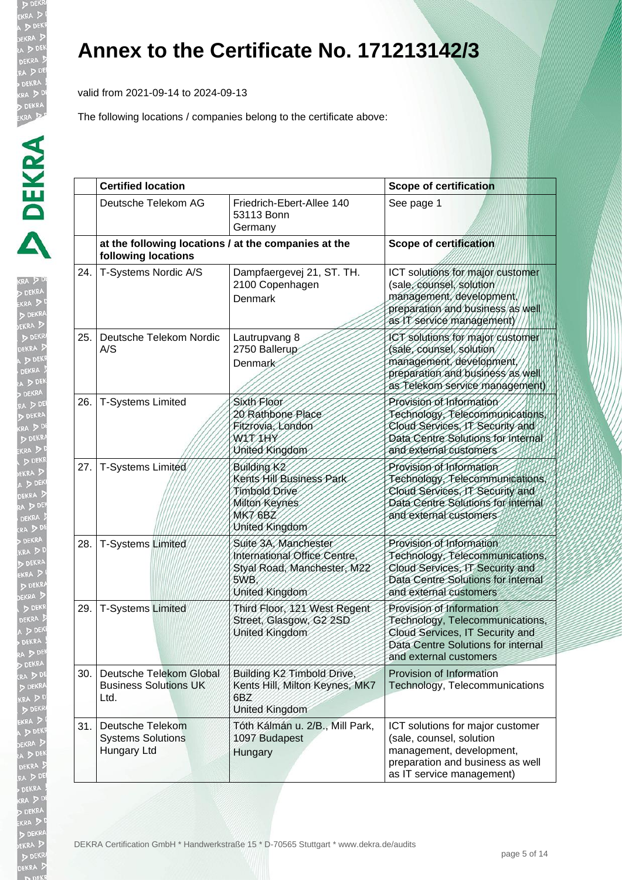valid from 2021-09-14 to 2024-09-13

| RA DO<br><b>DEKRA</b><br>kra D <sup>i</sup><br>KRA<br>DE<br>EKRA <sub>D</sub>                  |      |
|------------------------------------------------------------------------------------------------|------|
| DEKR/<br>DEKRA D<br>DEK<br>l<br>DEKRA !<br>A D DEK<br><b>DEKRA</b>                             | ጋ፣   |
| RA D DEI<br><b>DEKRA</b><br>RA DD<br>D DEKRA<br>KRA D                                          | 26.  |
| D DEKR<br>EKRA D<br>A DEK<br>EKRA D<br>A DE<br>DEKRA 5<br>ra D <sup>DE</sup>                   |      |
| <b>DEKRA</b><br>KRA DD<br>DEKRA<br>KRA DI<br>D DEKRA<br>EKRA <sup>5</sup>                      | 28.  |
| :KR<br>D <sub>0</sub><br>DEKRA D<br>DEKI<br><b>DEKRA</b><br>A > 05<br>l<br>DEKRA               | 29   |
| ra D DE<br><b>DEKRA</b><br>KRA DD<br>KR<br>D                                                   | 30.  |
| $\overline{\mathbf{z}}$<br>KRA J<br>DEKE<br>EKRA D<br>A D DEN<br><b>DEKRA</b><br>RA DE         |      |
| DEKRA<br>RA DD<br><b>DEKRA</b><br>KRA DI<br>KRA<br>DE<br>EKRA D<br>D DEKR<br>EKRA <sup>J</sup> | DEKR |

|     | <b>Certified location</b>                                                   |                                                                                                                           | <b>Scope of certification</b>                                                                                                                                  |
|-----|-----------------------------------------------------------------------------|---------------------------------------------------------------------------------------------------------------------------|----------------------------------------------------------------------------------------------------------------------------------------------------------------|
|     | Deutsche Telekom AG                                                         | Friedrich-Ebert-Allee 140<br>53113 Bonn<br>Germany                                                                        | See page 1                                                                                                                                                     |
|     | at the following locations / at the companies at the<br>following locations |                                                                                                                           | <b>Scope of certification</b>                                                                                                                                  |
| 24. | T-Systems Nordic A/S                                                        | Dampfaergevej 21, ST. TH.<br>2100 Copenhagen<br>Denmark                                                                   | ICT solutions for major customer<br>(sale, counsel, solution<br>management, development,<br>preparation and business as well<br>as IT service management)      |
| 25. | Deutsche Telekom Nordic<br>A/S                                              | Lautrupvang 8<br>2750 Ballerup<br><b>Denmark</b>                                                                          | ICT solutions for major customer<br>(sale, counsel, solution<br>management, development<br>preparation and business as well<br>as Telekom service management)  |
| 26. | <b>T-Systems Limited</b>                                                    | Sixth Floor<br>20 Rathbone Place<br>Fitzrovia, London<br><b>WAT/IHY</b><br>United Kingdom                                 | Provision of Information<br>Technology, Telecommunications<br>Cloud Services, IT Security and<br>Data Centre Solutions for internal<br>and external customers  |
| 27. | T-Systems Limited                                                           | Building K <sub>2</sub><br>Kents Hill Business Park<br>Timbold Drive<br>Milton Keynes<br><b>MK7 6BZ</b><br>United Kingdom | Provision of Information<br>Technology, Telecommunications<br>Cloud Services, IT Security and<br>Data Centre Solutions for internal<br>and external customers  |
| 28. | <b>T-Systems Limited</b>                                                    | Suite 3A, Manchester<br>International Office Centre<br>Styal Road, Manchester, M22<br>5WB.<br>United Kingdom              | Provision of Information<br>Technology, Telecommunications,<br>Cloud Services, IT Security and<br>Data Centre Solutions for internal<br>and external customers |
| 29. | <b>T-Systems Limited</b>                                                    | Third Floor, 121 West Regent<br>Street, Glasgow, G2 2SD<br>United Kingdom                                                 | Provision of Information<br>Technology, Telecommunications,<br>Cloud Services, IT Security and<br>Data Centre Solutions for internal<br>and external customers |
| 30. | Deutsche Telekom Global<br><b>Business Solutions UK</b><br>Ltd.             | Building K2 Timbold Drive,<br>Kents Hill, Milton Keynes, MK7<br>6BZ<br>United Kingdom                                     | Provision of Information<br>Technology, Telecommunications                                                                                                     |
| 31. | Deutsche Telekom<br><b>Systems Solutions</b><br>Hungary Ltd                 | Tóth Kálmán u. 2/B., Mill Park,<br>1097 Budapest<br>Hungary                                                               | ICT solutions for major customer<br>(sale, counsel, solution<br>management, development,<br>preparation and business as well<br>as IT service management)      |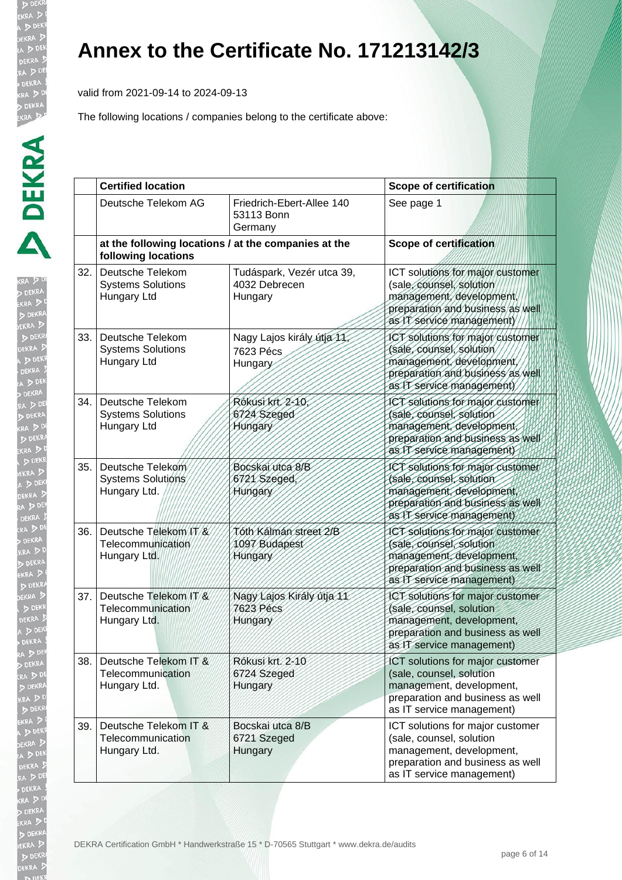ים ל EKRA

**b** DE EKRA  $D<sub>DE</sub>$ EKR/

ाञ्

 $\mathbf{r}$ 

### **Annex to the Certificate No. 171213142/3**

valid from 2021-09-14 to 2024-09-13

The following locations / companies belong to the certificate above:

|      | <b>Certified location</b>                                   |                                                       | <b>Scope of certification</b>                                                                                                                             |  |
|------|-------------------------------------------------------------|-------------------------------------------------------|-----------------------------------------------------------------------------------------------------------------------------------------------------------|--|
|      | Deutsche Telekom AG                                         | Friedrich-Ebert-Allee 140<br>53113 Bonn<br>Germany    | See page 1                                                                                                                                                |  |
|      | following locations                                         | at the following locations / at the companies at the  | <b>Scope of certification</b>                                                                                                                             |  |
| 32.1 | Deutsche Telekom<br><b>Systems Solutions</b><br>Hungary Ltd | Tudáspark, Vezér utca 39,<br>4032 Debrecen<br>Hungary | ICT solutions for major customer<br>(sale, counsel, solution<br>management, development,<br>preparation and business as well<br>as IT service management) |  |
| 33.  | Deutsche Telekom<br><b>Systems Solutions</b><br>Hungary Ltd | Nagy Lajos király útja 11,<br>7623 Pécs<br>Hungary    | ICT solutions for major customer<br>(sale, counsel, solution<br>management, development<br>preparation and business as well<br>as IT service management)  |  |
| 34.  | Deutsche Telekom<br><b>Systems Solutions</b><br>Hungary Ltd | Rókusi krt 2-10<br>6724 Szeged<br>Hungary             | ICT solutions for major customer<br>(sale, counsel, solution<br>management, development,<br>preparation and business as well<br>as IT service management) |  |
| 35.  | Deutsche Telekom<br>Systems Solutions<br>Hungary Ltd.       | Bocskai utca 8/B<br>6721/Szeged,<br>Hungary           | ICT solutions for major customer<br>(sale, counsel, solution<br>management, development,<br>preparation and business as well<br>as IT service management) |  |
| 36.  | Deutsche Telekom/IT/&<br>Telecommunication<br>Hungary Ltd.  | Tóth Kálmán street 2/B<br>1097 Budapest<br>Hungary    | ICT solutions for major customer<br>(sale, counsel, solution<br>management, development,<br>preparation and business as well<br>as IT service management) |  |
| 37.  | Deutsche Telekom IT/&<br>Telecommunication<br>Hungary Ltd.  | Nagy Lajos Király útja 11<br>7623 Pécs<br>Hungary     | ICT solutions for major customer<br>(sale, counsel, solution<br>management, development,<br>preparation and business as well<br>as IT service management) |  |
| 38.  | Deutsche Telekom IT &<br>Telecommunication<br>Hungary Ltd.  | Rókusi krt. 2-10<br>6724 Szeged<br>Hungary            | ICT solutions for major customer<br>(sale, counsel, solution<br>management, development,<br>preparation and business as well<br>as IT service management) |  |
| 39.  | Deutsche Telekom IT &<br>Telecommunication<br>Hungary Ltd.  | Bocskai utca 8/B<br>6721 Szeged<br>Hungary            | ICT solutions for major customer<br>(sale, counsel, solution<br>management, development,<br>preparation and business as well<br>as IT service management) |  |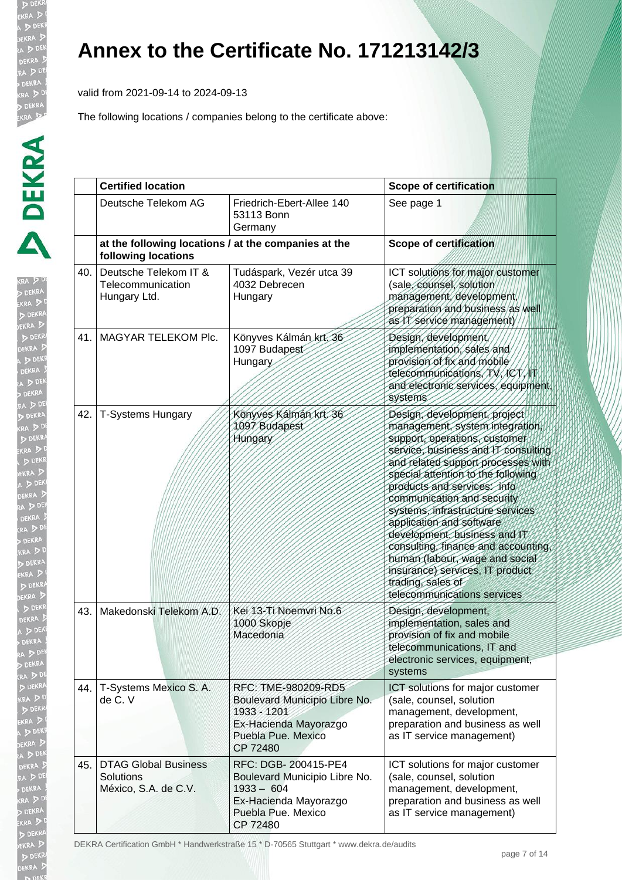valid from 2021-09-14 to 2024-09-13

| ĺ             |
|---------------|
|               |
|               |
|               |
|               |
|               |
|               |
|               |
|               |
|               |
|               |
|               |
|               |
|               |
|               |
|               |
|               |
|               |
|               |
|               |
|               |
|               |
|               |
| j             |
| $\frac{1}{2}$ |
| l             |
|               |
|               |
|               |
|               |
|               |
|               |
|               |
|               |
|               |
|               |
|               |
|               |
|               |
|               |
|               |
|               |
|               |
|               |
|               |
|               |
|               |
|               |
|               |
| ļ             |
| Ì             |
| p             |
|               |
|               |
|               |
|               |
|               |
|               |
|               |
|               |

|     | <b>Certified location</b>                                                   |                                                                                                                                  | <b>Scope of certification</b>                                                                                                                                                                                                                                                                                                                                                                                                                                                                                                                    |  |
|-----|-----------------------------------------------------------------------------|----------------------------------------------------------------------------------------------------------------------------------|--------------------------------------------------------------------------------------------------------------------------------------------------------------------------------------------------------------------------------------------------------------------------------------------------------------------------------------------------------------------------------------------------------------------------------------------------------------------------------------------------------------------------------------------------|--|
|     | Deutsche Telekom AG                                                         | Friedrich-Ebert-Allee 140<br>53113 Bonn<br>Germany                                                                               | See page 1                                                                                                                                                                                                                                                                                                                                                                                                                                                                                                                                       |  |
|     | at the following locations / at the companies at the<br>following locations |                                                                                                                                  | <b>Scope of certification</b>                                                                                                                                                                                                                                                                                                                                                                                                                                                                                                                    |  |
| 40. | Deutsche Telekom IT &<br>Telecommunication<br>Hungary Ltd.                  | Tudáspark, Vezér utca 39<br>4032 Debrecen<br>Hungary                                                                             | ICT solutions for major customer<br>(sale, counsel, solution<br>management, development,<br>preparation and business as well<br>as IT service management)                                                                                                                                                                                                                                                                                                                                                                                        |  |
| 41. | MAGYAR TELEKOM PIC.                                                         | Könyves Kálmán krt. 36<br>1097 Budapest<br>Hungary                                                                               | Design, development,<br>implementation, sales and<br>provision of fix and mobile<br>telecommunications, TN, ICT, IT<br>and electronic services, equipment,<br>systems                                                                                                                                                                                                                                                                                                                                                                            |  |
| 42. | <b>T-Systems Hungary</b>                                                    | Könyves Kálmán krt. 36<br>1097 Budapest<br>Hungary                                                                               | Design, development, project<br>management, system integration,<br>support, operations, customer<br>service, business and IT consulting<br>and related support processes with<br>special attention to the following<br>products and services. info<br>communication and security<br>systems, infrastructure services<br>application and software<br>development, business and IT<br>consulting, tinance and accounting,<br>human (labour, wage and social<br>insurance) services, IT product<br>trading, sales of<br>telecommunications services |  |
| 43. | Makedonski Telekom A.D.                                                     | Kei 13-Ti Noemvri No.6<br>1000 Skopje<br>Macedonia                                                                               | Design, development,<br>implementation, sales and<br>provision of fix and mobile<br>telecommunications, IT and<br>electronic services, equipment,<br>systems                                                                                                                                                                                                                                                                                                                                                                                     |  |
| 44. | T-Systems Mexico S. A.<br>de C. V                                           | RFC: TME-980209-RD5<br>Boulevard Municipio Libre No.<br>1933 - 1201<br>Ex-Hacienda Mayorazgo<br>Puebla Pue. Mexico<br>CP 72480   | ICT solutions for major customer<br>(sale, counsel, solution<br>management, development,<br>preparation and business as well<br>as IT service management)                                                                                                                                                                                                                                                                                                                                                                                        |  |
| 45. | <b>DTAG Global Business</b><br>Solutions<br>México, S.A. de C.V.            | RFC: DGB- 200415-PE4<br>Boulevard Municipio Libre No.<br>$1933 - 604$<br>Ex-Hacienda Mayorazgo<br>Puebla Pue. Mexico<br>CP 72480 | ICT solutions for major customer<br>(sale, counsel, solution<br>management, development,<br>preparation and business as well<br>as IT service management)                                                                                                                                                                                                                                                                                                                                                                                        |  |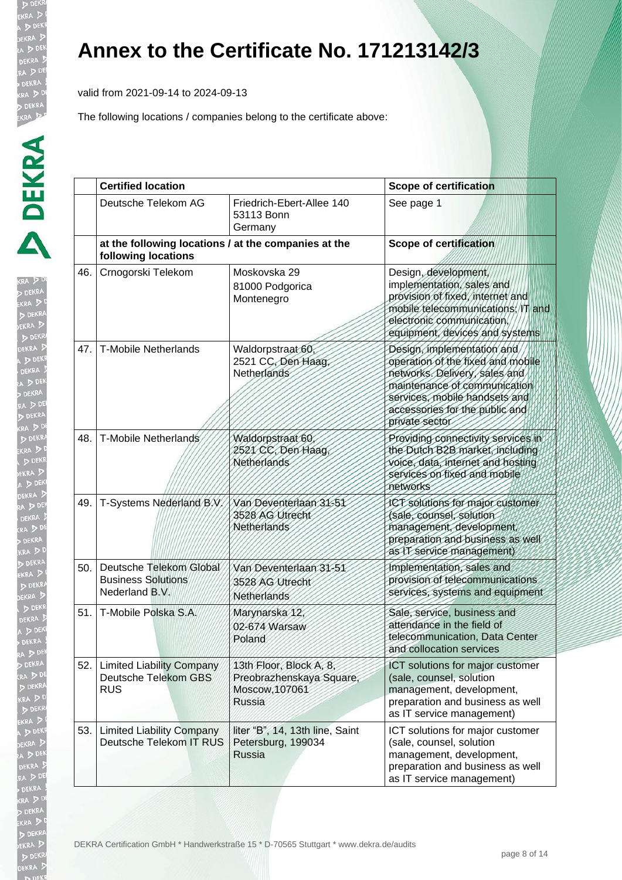valid from 2021-09-14 to 2024-09-13

| ŀ             |
|---------------|
|               |
|               |
|               |
|               |
|               |
|               |
|               |
|               |
|               |
|               |
|               |
|               |
|               |
|               |
|               |
|               |
|               |
|               |
|               |
|               |
|               |
|               |
|               |
|               |
|               |
|               |
|               |
|               |
|               |
|               |
|               |
|               |
|               |
|               |
|               |
|               |
|               |
| ŗ             |
|               |
|               |
|               |
|               |
|               |
|               |
|               |
| ļ             |
| $\frac{1}{2}$ |
|               |
|               |
|               |
|               |
|               |

|      | <b>Certified location</b>                                                   |                                                                                        | <b>Scope of certification</b>                                                                                                                                                                                         |  |
|------|-----------------------------------------------------------------------------|----------------------------------------------------------------------------------------|-----------------------------------------------------------------------------------------------------------------------------------------------------------------------------------------------------------------------|--|
|      | Deutsche Telekom AG                                                         | Friedrich-Ebert-Allee 140<br>53113 Bonn<br>Germany                                     | See page 1                                                                                                                                                                                                            |  |
|      | at the following locations / at the companies at the<br>following locations |                                                                                        | <b>Scope of certification</b>                                                                                                                                                                                         |  |
| 46.  | Crnogorski Telekom                                                          | Moskovska 29<br>81000 Podgorica<br>Montenegro                                          | Design, development,<br>implementation, sales and<br>provision of fixed, internet and<br>mobile telecommunications; IT and<br>electronic communication<br>equipment, devices and systems                              |  |
| 47.  | <b>T-Mobile Netherlands</b>                                                 | Waldorpstraat 60,<br>2521 CC, Den Haag,<br>Netherlands                                 | Design, implementation and<br>operation of the fixed and mobile<br>networks. Delivery, sales and<br>maintenance of communication<br>services, mobile handsets and<br>accessories for the public and<br>private sector |  |
| 48.  | T-Mobile Netherlands                                                        | Waldorpstraat 60<br>2521 CC, Den Haag,<br>Netherlands                                  | Providing connectivity services in<br>the Dutch B2B market, including<br>voice, data, internet and hosting<br>services on fixed and mobile<br>networks                                                                |  |
| 49.  | T-Systems Nederland B.V.                                                    | Van Deventerlaan 31-51<br>3528 AG Utrecht<br>Netherlands                               | JCT solutions for major customer<br>(sale, counsel, solution<br>management, development,<br>preparation and business as well<br>as IT service management)                                                             |  |
| 50.  | Deutsche Telekom Global<br><b>Business Solutions</b><br>Nederland B.V.      | Van Deventerlaan 31-51<br>3528 AG Utrecht<br>Netherlands                               | Implementation, sales and<br>provision of telecommunications<br>services, systems and equipment                                                                                                                       |  |
| 51.  | T-Mobile Polska S.A.                                                        | Marynarska 12,<br>02-674 Warsaw<br>Poland                                              | Sale, service, business and<br>attendance in the field of<br>telecommunication, Data Center<br>and collocation services                                                                                               |  |
| 52.  | <b>Limited Liability Company</b><br>Deutsche Telekom GBS<br><b>RUS</b>      | 13th Floor, Block A, 8,<br>Preobrazhenskaya Square,<br>Moscow, 107061<br><b>Russia</b> | ICT solutions for major customer<br>(sale, counsel, solution<br>management, development,<br>preparation and business as well<br>as IT service management)                                                             |  |
| 53.1 | <b>Limited Liability Company</b><br>Deutsche Telekom IT RUS                 | liter "B", 14, 13th line, Saint<br>Petersburg, 199034<br>Russia                        | ICT solutions for major customer<br>(sale, counsel, solution<br>management, development,<br>preparation and business as well<br>as IT service management)                                                             |  |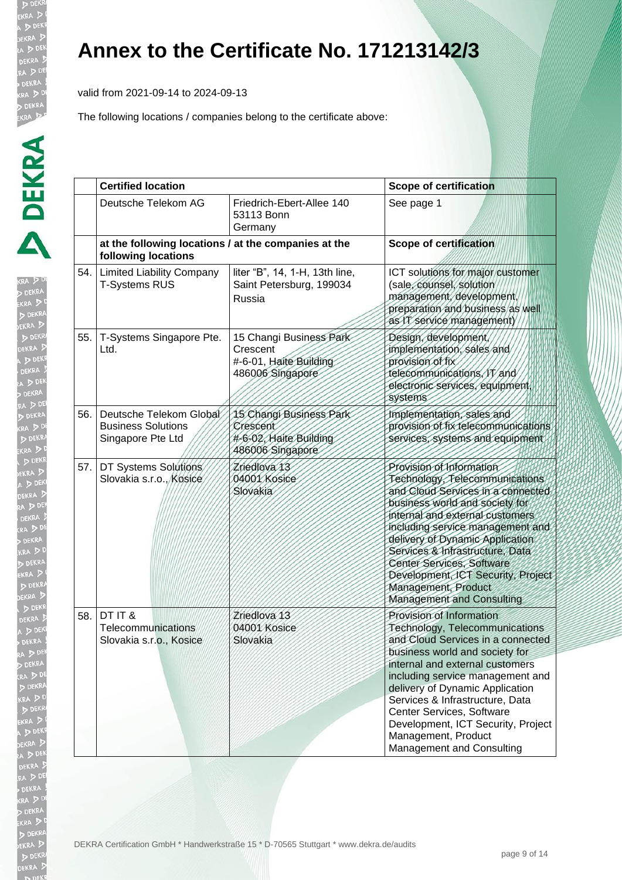valid from 2021-09-14 to 2024-09-13

| 吐<br>KR<br>B                                  |
|-----------------------------------------------|
|                                               |
|                                               |
|                                               |
|                                               |
|                                               |
|                                               |
|                                               |
| i                                             |
| į                                             |
|                                               |
| l                                             |
|                                               |
|                                               |
| KI<br>A<br>A<br>A<br>A                        |
|                                               |
| ļ                                             |
|                                               |
| 1<br>i<br>!                                   |
| いり                                            |
|                                               |
|                                               |
|                                               |
| B                                             |
|                                               |
| $\frac{1}{2}$                                 |
|                                               |
|                                               |
|                                               |
|                                               |
|                                               |
|                                               |
|                                               |
|                                               |
|                                               |
|                                               |
|                                               |
| ٦<br>U                                        |
|                                               |
|                                               |
| i                                             |
|                                               |
|                                               |
|                                               |
| ֖֪ׅ֪ׅ֖֧ׅ֖ׅ֪ׅ֖ׅ֖֚֚֚֚֚֚֚֚֚֚֚֚֚֚֚֚֚֚֚֚֚֚֡֝֝֝֝֬֝֬ |
|                                               |
| j                                             |
|                                               |
|                                               |
|                                               |
|                                               |

|     | <b>Certified location</b>                                                   |                                                                                   | <b>Scope of certification</b>                                                                                                                                                                                                                                                                                                                                                                         |  |
|-----|-----------------------------------------------------------------------------|-----------------------------------------------------------------------------------|-------------------------------------------------------------------------------------------------------------------------------------------------------------------------------------------------------------------------------------------------------------------------------------------------------------------------------------------------------------------------------------------------------|--|
|     | Deutsche Telekom AG                                                         | Friedrich-Ebert-Allee 140<br>53113 Bonn<br>Germany                                | See page 1                                                                                                                                                                                                                                                                                                                                                                                            |  |
|     | at the following locations / at the companies at the<br>following locations |                                                                                   | <b>Scope of certification</b>                                                                                                                                                                                                                                                                                                                                                                         |  |
| 54. | <b>Limited Liability Company</b><br><b>T-Systems RUS</b>                    | liter "B", 14, 1-H, 13th line,<br>Saint Petersburg, 199034<br>Russia              | ICT solutions for major customer<br>(sale, counsel, solution<br>management, development,<br>preparation and business as well<br>as IT service management)                                                                                                                                                                                                                                             |  |
| 55. | T-Systems Singapore Pte.<br>Ltd.                                            | 15 Changi Business Park<br>Crescent<br>#-6-01, Haite Building<br>486006 Singapore | Design, development,<br>implementation, sales and<br>provision of fix<br>telecommunications, IT and<br>electronic services, equipment,<br>systems                                                                                                                                                                                                                                                     |  |
| 56. | Deutsche Telekom Global<br><b>Business Solutions</b><br>Singapore Pte Ltd   | 15 Changi Business Park<br>Crescent<br>#-6-02, Haite Building<br>486006 Singapore | Implementation, sales and<br>provision of tix telecommunications<br>services, systems and equipment                                                                                                                                                                                                                                                                                                   |  |
| 57. | DT Systems Solutions<br>Slovakia s.r.o., Kosice                             | Zriedlova 13<br>04001 Kosice<br>Slovakia                                          | Provision of Information<br>Technology, Telecommunications<br>and Cloud Services in a connected<br>business world and society for<br>internal and external customers<br>including service management and<br>delivery of Dynamic Application<br>Services & Infrastructure, Data<br>Center Services, Software<br>Development, ICT Security, Project<br>Management, Product<br>Management and Consulting |  |
| 58. | DT IT &<br>Telecommunications<br>Slovakia s.r.o., Kosice                    | Zriedlova <sub>13</sub><br>04001 Kosice<br>Slovakia                               | Provision of Information<br>Technology, Telecommunications<br>and Cloud Services in a connected<br>business world and society for<br>internal and external customers<br>including service management and<br>delivery of Dynamic Application<br>Services & Infrastructure, Data<br>Center Services, Software<br>Development, ICT Security, Project<br>Management, Product<br>Management and Consulting |  |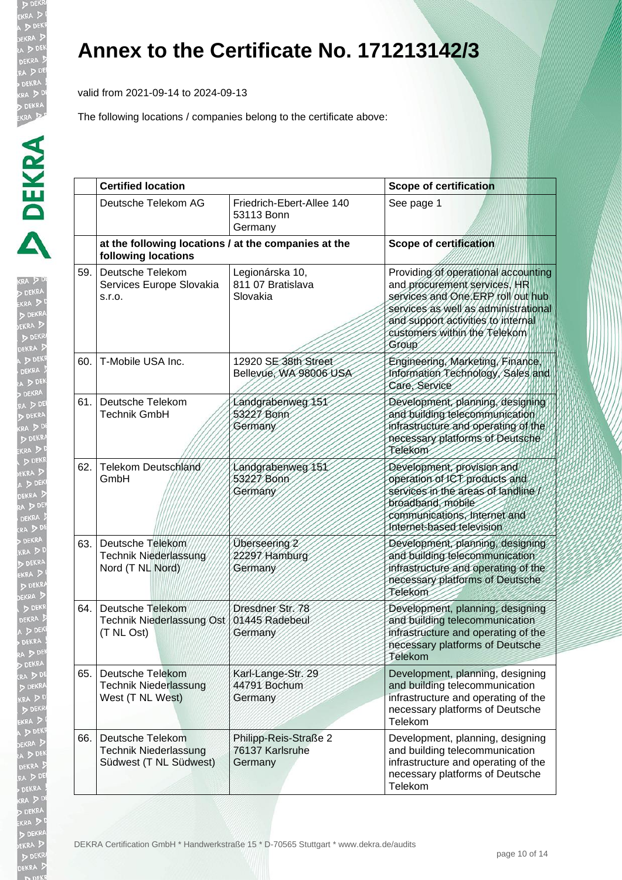valid from 2021-09-14 to 2024-09-13

| KRJ<br>Ì<br>ø                                                                                                                                                                                                                       |
|-------------------------------------------------------------------------------------------------------------------------------------------------------------------------------------------------------------------------------------|
| アンドリング                                                                                                                                                                                                                              |
| ĺ<br>Ì                                                                                                                                                                                                                              |
|                                                                                                                                                                                                                                     |
|                                                                                                                                                                                                                                     |
| ý                                                                                                                                                                                                                                   |
|                                                                                                                                                                                                                                     |
|                                                                                                                                                                                                                                     |
| ĺ                                                                                                                                                                                                                                   |
| l                                                                                                                                                                                                                                   |
|                                                                                                                                                                                                                                     |
| $\frac{1}{2}$                                                                                                                                                                                                                       |
|                                                                                                                                                                                                                                     |
| Ì<br>h<br>ļ                                                                                                                                                                                                                         |
| þ<br>I                                                                                                                                                                                                                              |
| $\frac{1}{2}$<br>Í                                                                                                                                                                                                                  |
| $\frac{1}{2}$<br>$\ddot{ }$                                                                                                                                                                                                         |
| J<br>$\ddot{\phantom{a}}$                                                                                                                                                                                                           |
| j                                                                                                                                                                                                                                   |
| $\frac{1}{2}$                                                                                                                                                                                                                       |
| in the control of the control of the control of the control of the control of the control of the control of the control of the control of the control of the control of the control of the control of the control of the contr<br>3 |
|                                                                                                                                                                                                                                     |
|                                                                                                                                                                                                                                     |
|                                                                                                                                                                                                                                     |
| l                                                                                                                                                                                                                                   |
| I                                                                                                                                                                                                                                   |
| ce XI A KI A EX L<br>ו<br>ו                                                                                                                                                                                                         |
|                                                                                                                                                                                                                                     |
|                                                                                                                                                                                                                                     |
|                                                                                                                                                                                                                                     |
| $\frac{1}{2}$<br>ì                                                                                                                                                                                                                  |
| þ                                                                                                                                                                                                                                   |
|                                                                                                                                                                                                                                     |
| l                                                                                                                                                                                                                                   |
|                                                                                                                                                                                                                                     |
| j                                                                                                                                                                                                                                   |
|                                                                                                                                                                                                                                     |
| j                                                                                                                                                                                                                                   |
|                                                                                                                                                                                                                                     |
| ١                                                                                                                                                                                                                                   |
| į<br>×                                                                                                                                                                                                                              |
|                                                                                                                                                                                                                                     |
|                                                                                                                                                                                                                                     |
| <b>CONTRACTOR</b>                                                                                                                                                                                                                   |
| ĺ                                                                                                                                                                                                                                   |
| Ď                                                                                                                                                                                                                                   |
| - 「大きさんのことをしているのです。」                                                                                                                                                                                                                |
|                                                                                                                                                                                                                                     |
|                                                                                                                                                                                                                                     |
| <b>A</b>                                                                                                                                                                                                                            |
|                                                                                                                                                                                                                                     |
| アル マ                                                                                                                                                                                                                                |
|                                                                                                                                                                                                                                     |
| j<br>١                                                                                                                                                                                                                              |
|                                                                                                                                                                                                                                     |

|     | <b>Certified location</b>                                                   |                                                     | <b>Scope of certification</b>                                                                                                                                                                                                   |  |
|-----|-----------------------------------------------------------------------------|-----------------------------------------------------|---------------------------------------------------------------------------------------------------------------------------------------------------------------------------------------------------------------------------------|--|
|     | Deutsche Telekom AG                                                         | Friedrich-Ebert-Allee 140<br>53113 Bonn<br>Germany  | See page 1                                                                                                                                                                                                                      |  |
|     | at the following locations / at the companies at the<br>following locations |                                                     | <b>Scope of certification</b>                                                                                                                                                                                                   |  |
| 59. | Deutsche Telekom<br>Services Europe Slovakia<br>S.I.O.                      | Legionárska 10,<br>811 07 Bratislava<br>Slovakia    | Providing of operational accounting<br>and procurement services, HR<br>services and One.ERP roll out hub<br>services as well as administrational<br>and support activities to internal<br>customers within the Telekom<br>Group |  |
| 60. | T-Mobile USA Inc.                                                           | 12920 SE 38th Street<br>Bellevue, WA 98006 USA      | Engineering, Marketing, Finance<br>Information Technology, Sales and<br>Care, Service                                                                                                                                           |  |
| 61. | Deutsche Telekom<br><b>Technik GmbH</b>                                     | Landgrabenweg 151<br>53227 Bonn<br>Germany          | Development, planning, designing<br>and building telecommunication<br>infrastructure and operating of the<br>necessary platforms of Deutsche<br>Telekom                                                                         |  |
| 62. | Telekom Deutschland<br>GmbH                                                 | Landgrabenweg 151<br>53227 Bonn<br>Germany          | Development, provision and<br>operation of ICT products and<br>services in the areas of landline<br>broadband, mobile<br>communications, Internet and<br>Internet-based television                                              |  |
| 63. | Deutsche Telekom<br>Technik Niederlassung<br>Nord (T NL Nord)               | Überseering 2<br>22297 Hamburg<br>Germany           | Development, planning, designing<br>and building telecommunication<br>infrastructure and operating of the<br>necessary platforms of Deutsche<br>Telekom                                                                         |  |
| 64. | Deutsche Telekom<br>Technik Niederlassung Ost<br>(T NL Ost)                 | Dresdner Str. 78<br>01445 Radebeul<br>Germany       | Development, planning, designing<br>and building telecommunication<br>infrastructure and operating of the<br>necessary platforms of Deutsche<br>Telekom                                                                         |  |
| 65. | <b>Deutsche Telekom</b><br><b>Technik Niederlassung</b><br>West (T NL West) | Karl-Lange-Str. 29<br>44791 Bochum<br>Germany       | Development, planning, designing<br>and building telecommunication<br>infrastructure and operating of the<br>necessary platforms of Deutsche<br>Telekom                                                                         |  |
| 66. | Deutsche Telekom<br><b>Technik Niederlassung</b><br>Südwest (T NL Südwest)  | Philipp-Reis-Straße 2<br>76137 Karlsruhe<br>Germany | Development, planning, designing<br>and building telecommunication<br>infrastructure and operating of the<br>necessary platforms of Deutsche<br>Telekom                                                                         |  |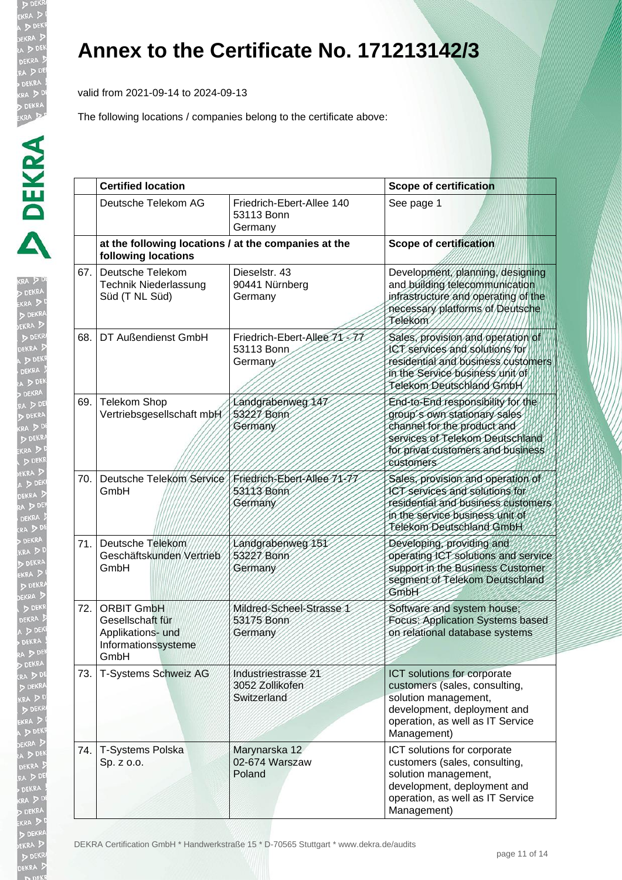valid from 2021-09-14 to 2024-09-13

| ŀ<br>(R)<br>ł<br>ĺ |
|--------------------|
|                    |
| ط العام            |
|                    |
|                    |
|                    |
|                    |
|                    |
|                    |
|                    |
|                    |
|                    |
|                    |
|                    |
|                    |
| ì                  |
|                    |
|                    |
|                    |
|                    |
|                    |
|                    |
|                    |
|                    |
|                    |
|                    |
|                    |
|                    |
|                    |
|                    |
|                    |
|                    |
|                    |
|                    |
|                    |
|                    |
|                    |
| l                  |
| ì                  |
|                    |
|                    |
|                    |
|                    |
|                    |
|                    |
|                    |
|                    |
|                    |
|                    |
|                    |
|                    |
|                    |
|                    |

|     | <b>Certified location</b>                                                                 |                                                       | <b>Scope of certification</b>                                                                                                                                                         |  |
|-----|-------------------------------------------------------------------------------------------|-------------------------------------------------------|---------------------------------------------------------------------------------------------------------------------------------------------------------------------------------------|--|
|     | Deutsche Telekom AG                                                                       | Friedrich-Ebert-Allee 140<br>53113 Bonn<br>Germany    | See page 1                                                                                                                                                                            |  |
|     | at the following locations / at the companies at the<br>following locations               |                                                       | <b>Scope of certification</b>                                                                                                                                                         |  |
| 67. | Deutsche Telekom<br><b>Technik Niederlassung</b><br>Süd (T NL Süd)                        | Dieselstr. 43<br>90441 Nürnberg<br>Germany            | Development, planning, designing<br>and building telecommunication<br>infrastructure and operating of the<br>necessary platforms of Deutsche<br>Telekom                               |  |
| 68. | DT Außendienst GmbH                                                                       | Friedrich-Ebert-Allee 71-77<br>53113 Bonn<br>Germany  | Sales, provision and operation of<br>ICT services and solutions for<br>residential and business customers<br>in the Service business unit of<br>Telekom Deutschland GmbH              |  |
| 69. | <b>Telekom Shop</b><br>Vertriebsgesellschaft mbH                                          | Landgrabenweg 147<br>53227 Bonn<br>Germany            | End-to-End responsibility for the<br>group's own stationary sales<br>channel for the product and<br>services of Telekom Deutschland<br>for privat customers and business<br>eustomers |  |
| 70. | Deutsche Telekom Service<br>GmbH                                                          | Friedrich-Ebert-Allee 71-77<br>53113 Bonn<br>Germany  | Sales, provision and operation of<br>ICT services and solutions for<br>residential and business customers<br>in the service business unit of<br>Telekom Deutschland GmbH              |  |
| 71. | Deutsche Telekom<br>Geschäftskunden Vertrieb<br>GmbH                                      | Landgrabenweg 151<br>53227 Bonn<br>Germany            | Developing, providing and<br>operating ICT solutions and service<br>support in the Business Customer<br>segment of Telekom Deutschland<br>GmbH                                        |  |
| 72. | <b>ORBIT GmbH</b><br>Gesellschaft für<br>Applikations- und<br>Informationssysteme<br>GmbH | Mildred-Scheel-Strasse 1<br>53175 Bonn<br>Germany     | Software and system house;<br>Focus: Application Systems based<br>on relational database systems                                                                                      |  |
| 73. | T-Systems Schweiz AG                                                                      | Industriestrasse 21<br>3052 Zollikofen<br>Switzerland | ICT solutions for corporate<br>customers (sales, consulting,<br>solution management,<br>development, deployment and<br>operation, as well as IT Service<br>Management)                |  |
| 74. | T-Systems Polska<br>Sp. z o.o.                                                            | Marynarska 12<br>02-674 Warszaw<br>Poland             | ICT solutions for corporate<br>customers (sales, consulting,<br>solution management,<br>development, deployment and<br>operation, as well as IT Service<br>Management)                |  |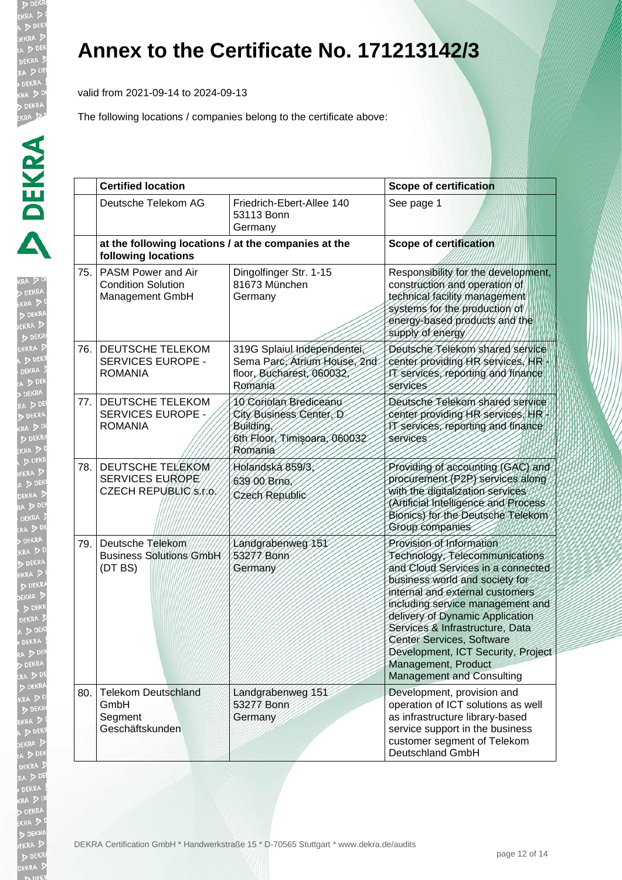valid from 2021-09-14 to 2024-09-13

| <b>CRA</b> DD<br>ŀ                        |
|-------------------------------------------|
| ž.<br>EKI                                 |
| A J<br>1                                  |
| $\frac{1}{2}$ DI                          |
|                                           |
|                                           |
| DERAM<br>DEKRA<br>A D D<br>DEKR<br>RA D ! |
|                                           |
|                                           |
|                                           |
| RA D                                      |
| DEK                                       |
|                                           |
|                                           |
| A D                                       |
| A                                         |
| RADDER<br>BOR<br>KRADDE<br>EKRADD         |
| DEKF                                      |
| A <sub>D</sub>                            |
| DEKR                                      |
| $\sqrt{2}$                                |
| DE<br>$\frac{4}{3}$                       |
| E V X                                     |
| AD.                                       |
|                                           |
| <b>P</b><br>PEKF                          |
| DEKR                                      |
|                                           |
| D <sub>0</sub>                            |
|                                           |
| A DI                                      |
|                                           |
| (A D )<br>DEK!                            |
|                                           |
| 3<br>A D                                  |
| <b>DI</b><br>EKRA                         |
|                                           |
| DEKRA<br>$\overline{D}$                   |
| A DI                                      |
| DE<br>KI                                  |
| ia D<br>i                                 |
| ß<br>KR                                   |
| l                                         |
| EKI<br>i<br>Ű                             |
| $\sqrt{2}$<br>KI<br>$\overline{2}$        |
| $\cdot$ $\overline{v}$                    |
| DE                                        |
|                                           |
|                                           |

|     | <b>Certified location</b>                                                   |                                                                                                           | <b>Scope of certification</b>                                                                                                                                                                                                                                                                                                                                                                                |  |
|-----|-----------------------------------------------------------------------------|-----------------------------------------------------------------------------------------------------------|--------------------------------------------------------------------------------------------------------------------------------------------------------------------------------------------------------------------------------------------------------------------------------------------------------------------------------------------------------------------------------------------------------------|--|
|     | Deutsche Telekom AG                                                         | Friedrich-Ebert-Allee 140<br>53113 Bonn<br>Germany                                                        | See page 1                                                                                                                                                                                                                                                                                                                                                                                                   |  |
|     | at the following locations / at the companies at the<br>following locations |                                                                                                           | <b>Scope of certification</b>                                                                                                                                                                                                                                                                                                                                                                                |  |
| 75. | PASM Power and Air<br><b>Condition Solution</b><br>Management GmbH          | Dingolfinger Str. 1-15<br>81673 München<br>Germany                                                        | Responsibility for the development,<br>construction and operation of<br>technical facility management<br>systems for the production of<br>energy-based products and the<br>supply of energy                                                                                                                                                                                                                  |  |
| 76. | DEUTSCHE TELEKOM<br>SERVICES EUROPE -<br><b>ROMANIA</b>                     | 319G Splaiul Independentei,<br>Sema Parc, Atrium House, 2nd<br>floor, Bucharest, 060032<br>Romania        | Deutsche Telekom shared service<br>center providing HR services, HR<br>IT services, reporting and finance<br>services                                                                                                                                                                                                                                                                                        |  |
| 77. | DEUTSCHE TELEKOM<br><b>SERVICES EUROPE -</b><br><b>ROMANIA</b>              | 10 Coriolan Brediceanu<br>City Business Center, D<br>Building,<br>6th Floor, Timisoara, 060032<br>Romania | Deutsche Telekom shared service<br>center providing HR services, HR<br>IT services, reporting and finance<br>services                                                                                                                                                                                                                                                                                        |  |
| 78. | <b>DEUTSCHE TELEKOM</b><br>SERVICES EUROPE<br>CZECH REPUBLIC/S/r.o.         | Holandská 859/3<br>639 00 Brno.<br>Czech Republic                                                         | Providing of accounting (GAC) and<br>procurement (P2P) services along<br>with the digitalization services<br>(Artificial Intelligence and Process<br>Bionics) for the Deutsche Telekom<br>Group companies                                                                                                                                                                                                    |  |
| 79. | Deutsche Telekom<br><b>Business Solutions GmbH</b><br>(DT BS)               | Landgrabenweg 151<br>53277 Bonn<br>Germany                                                                | Provision of Information<br>Technology, Telecommunications<br>and Cloud Services in a connected<br>business world and society for<br>internal and external customers<br>including service management and<br>delivery of Dynamic Application<br>Services & Infrastructure, Data<br>Center Services, Software<br>Development, ICT Security, Project<br>Management, Product<br><b>Management and Consulting</b> |  |
| 80. | <b>Telekom Deutschland</b><br>GmbH<br>Segment<br>Geschäftskunden            | Landgrabenweg 151<br>53277 Bonn<br>Germany                                                                | Development, provision and<br>operation of ICT solutions as well<br>as infrastructure library-based<br>service support in the business<br>customer segment of Telekom<br>Deutschland GmbH                                                                                                                                                                                                                    |  |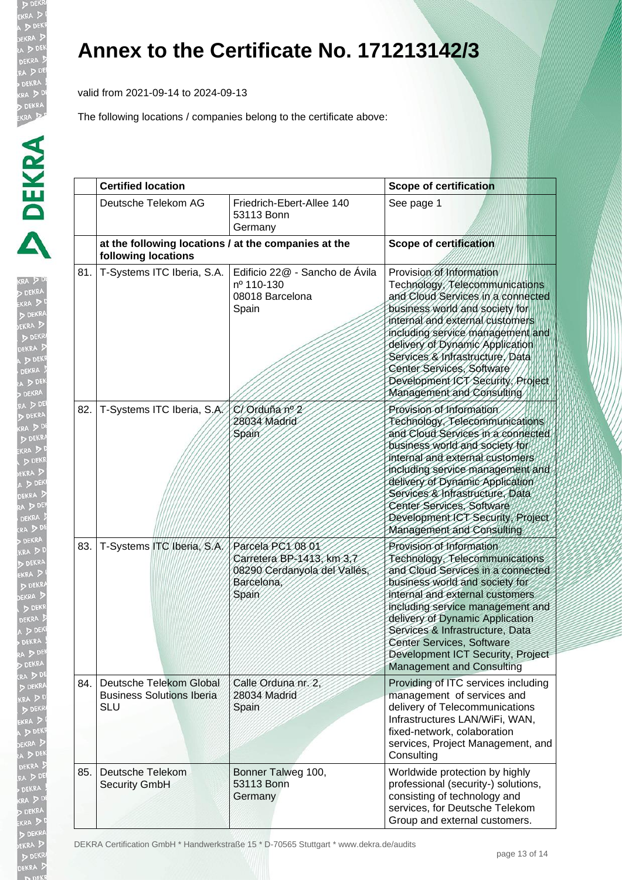valid from 2021-09-14 to 2024-09-13

The following locations / companies belong to the certificate above:

| j      |
|--------|
|        |
|        |
|        |
|        |
|        |
|        |
|        |
|        |
|        |
|        |
|        |
|        |
|        |
|        |
|        |
|        |
|        |
|        |
|        |
|        |
|        |
|        |
|        |
|        |
|        |
|        |
|        |
|        |
|        |
|        |
| j<br>l |
|        |
|        |
|        |
| ļ<br>١ |
|        |
|        |
| I<br>ļ |
| ١      |
|        |
|        |
|        |
| J      |
| ֚֘֝    |
|        |

|     | <b>Certified location</b>                                                   |                                                                                                       | <b>Scope of certification</b>                                                                                                                                                                                                                                                                                                                                                               |  |
|-----|-----------------------------------------------------------------------------|-------------------------------------------------------------------------------------------------------|---------------------------------------------------------------------------------------------------------------------------------------------------------------------------------------------------------------------------------------------------------------------------------------------------------------------------------------------------------------------------------------------|--|
|     | Deutsche Telekom AG                                                         | Friedrich-Ebert-Allee 140<br>53113 Bonn<br>Germany                                                    | See page 1                                                                                                                                                                                                                                                                                                                                                                                  |  |
|     | at the following locations / at the companies at the<br>following locations |                                                                                                       | <b>Scope of certification</b>                                                                                                                                                                                                                                                                                                                                                               |  |
| 81. | T-Systems ITC Iberia, S.A.                                                  | Edificio 22@ - Sancho de Ávila<br>nº 110-130<br>08018 Barcelona<br>Spain                              | Provision of Information<br>Technology, Telecommunications<br>and Cloud Services in a connected<br>business world and society for<br>internal and external customers<br>including service management and<br>delivery of Dynamic Application<br>Services & Infrastructure, Data<br>Center Services, Software<br>Development ICT Security, Project<br>Management and Consulting               |  |
| 82. | T-Systems ITC Iberia, S.A.                                                  | C/Orduña nº 2<br>28034 Madrid<br>Spain                                                                | Provision of Information<br>Technology, Telecommunications<br>and Cloud Services in a connected<br>business world and society for<br>internal and external customers<br>including service management and<br>delivery of Dynamic Application<br>Services & Intrastructure, Data<br>Center Services, Software<br>Development ICT Security, Project<br>Management and Consulting               |  |
| 83. | T-Systems ITC Iberia, S.A.                                                  | Parcela PC1 08 01<br>Carretera BP-1413, km 3,7<br>08290 Cerdanyola del Vallés,<br>Barcelona,<br>Spain | Provision of Information<br>Technology, Telecommunications<br>and Cloud Services in a connected<br>business world and society for<br>internal and external customers<br>including service management and<br>delivery of Dynamic Application<br>Services & Infrastructure, Data<br><b>Center Services, Software</b><br>Development ICT Security, Project<br><b>Management and Consulting</b> |  |
| 84. | Deutsche Telekom Global<br><b>Business Solutions Iberia</b><br><b>SLU</b>   | Calle Orduna nr. 2,<br>28034 Madrid<br>Spain                                                          | Providing of ITC services including<br>management of services and<br>delivery of Telecommunications<br>Infrastructures LAN/WiFi, WAN,<br>fixed-network, colaboration<br>services, Project Management, and<br>Consulting                                                                                                                                                                     |  |
| 85. | Deutsche Telekom<br>Security GmbH                                           | Bonner Talweg 100,<br>53113 Bonn<br>Germany                                                           | Worldwide protection by highly<br>professional (security-) solutions,<br>consisting of technology and<br>services, for Deutsche Telekom<br>Group and external customers.                                                                                                                                                                                                                    |  |

DEKRA Certification GmbH \* Handwerkstraße 15 \* D-70565 Stuttgart \* www.dekra.de/audits